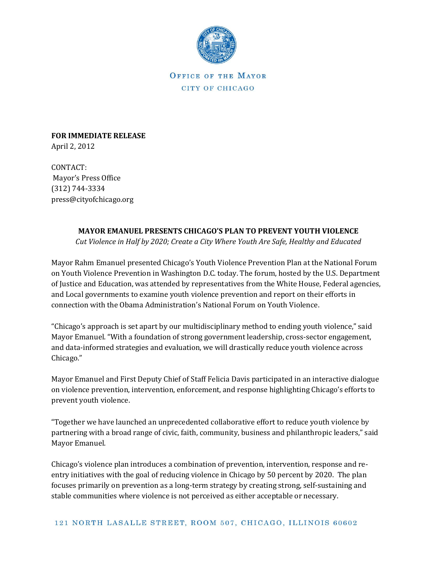

OFFICE OF THE MAYOR CITY OF CHICAGO

**FOR IMMEDIATE RELEASE** April 2, 2012

CONTACT: Mayor's Press Office (312) 744-3334 press@cityofchicago.org

## **MAYOR EMANUEL PRESENTS CHICAGO'S PLAN TO PREVENT YOUTH VIOLENCE**

*Cut Violence in Half by 2020; Create a City Where Youth Are Safe, Healthy and Educated* 

Mayor Rahm Emanuel presented Chicago's Youth Violence Prevention Plan at the National Forum on Youth Violence Prevention in Washington D.C. today. The forum, hosted by the U.S. Department of Justice and Education, was attended by representatives from the White House, Federal agencies, and Local governments to examine youth violence prevention and report on their efforts in connection with the Obama Administration's National Forum on Youth Violence.

"Chicago's approach is set apart by our multidisciplinary method to ending youth violence," said Mayor Emanuel. "With a foundation of strong government leadership, cross-sector engagement, and data-informed strategies and evaluation, we will drastically reduce youth violence across Chicago."

Mayor Emanuel and First Deputy Chief of Staff Felicia Davis participated in an interactive dialogue on violence prevention, intervention, enforcement, and response highlighting Chicago's efforts to prevent youth violence.

"Together we have launched an unprecedented collaborative effort to reduce youth violence by partnering with a broad range of civic, faith, community, business and philanthropic leaders," said Mayor Emanuel.

Chicago's violence plan introduces a combination of prevention, intervention, response and reentry initiatives with the goal of reducing violence in Chicago by 50 percent by 2020. The plan focuses primarily on prevention as a long-term strategy by creating strong, self-sustaining and stable communities where violence is not perceived as either acceptable or necessary.